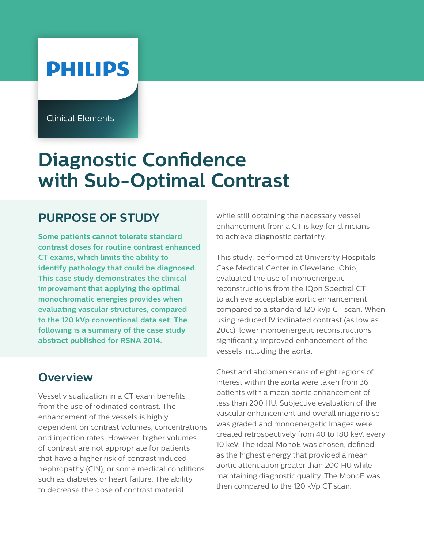# **PHILIPS**

Clinical Elements

## **Diagnostic Confidence with Sub-Optimal Contrast**

#### **PURPOSE OF STUDY**

**Some patients cannot tolerate standard contrast doses for routine contrast enhanced CT exams, which limits the ability to identify pathology that could be diagnosed. This case study demonstrates the clinical improvement that applying the optimal monochromatic energies provides when evaluating vascular structures, compared to the 120 kVp conventional data set. The following is a summary of the case study abstract published for RSNA 2014.**

#### **Overview**

Vessel visualization in a CT exam benefits from the use of iodinated contrast. The enhancement of the vessels is highly dependent on contrast volumes, concentrations and injection rates. However, higher volumes of contrast are not appropriate for patients that have a higher risk of contrast induced nephropathy (CIN), or some medical conditions such as diabetes or heart failure. The ability to decrease the dose of contrast material

while still obtaining the necessary vessel enhancement from a CT is key for clinicians to achieve diagnostic certainty.

This study, performed at University Hospitals Case Medical Center in Cleveland, Ohio, evaluated the use of monoenergetic reconstructions from the IQon Spectral CT to achieve acceptable aortic enhancement compared to a standard 120 kVp CT scan. When using reduced IV iodinated contrast (as low as 20cc), lower monoenergetic reconstructions significantly improved enhancement of the vessels including the aorta.

Chest and abdomen scans of eight regions of interest within the aorta were taken from 36 patients with a mean aortic enhancement of less than 200 HU. Subjective evaluation of the vascular enhancement and overall image noise was graded and monoenergetic images were created retrospectively from 40 to 180 keV, every 10 keV. The ideal MonoE was chosen, defined as the highest energy that provided a mean aortic attenuation greater than 200 HU while maintaining diagnostic quality. The MonoE was then compared to the 120 kVp CT scan.